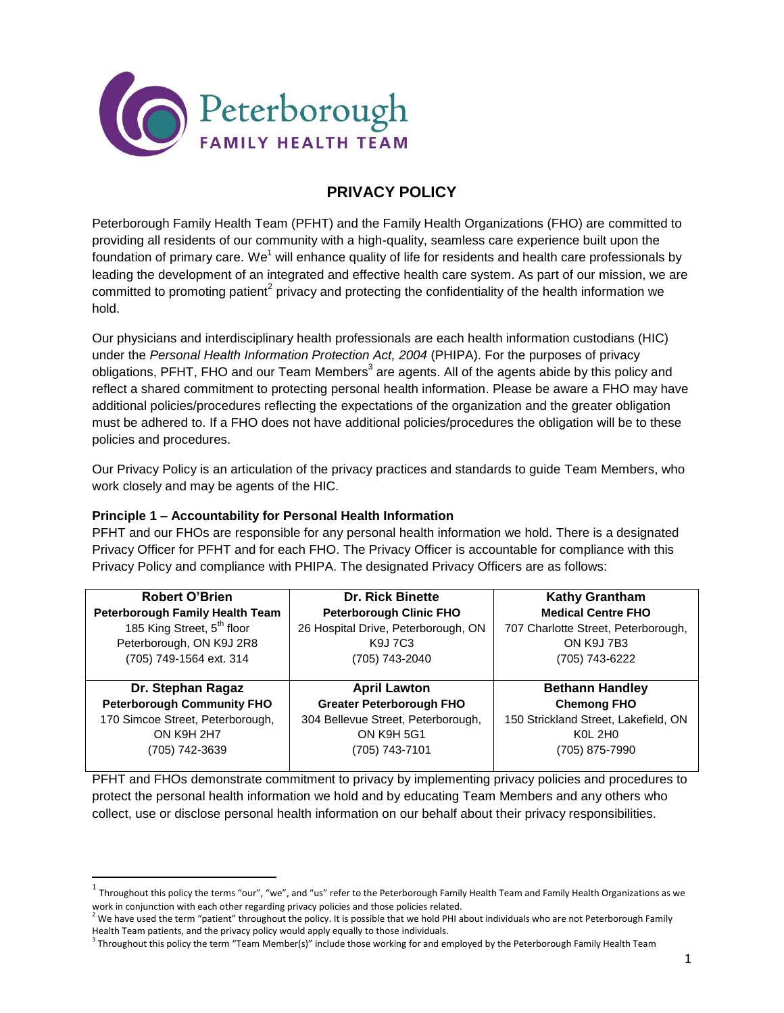

# **PRIVACY POLICY**

Peterborough Family Health Team (PFHT) and the Family Health Organizations (FHO) are committed to providing all residents of our community with a high-quality, seamless care experience built upon the foundation of primary care. We<sup>1</sup> will enhance quality of life for residents and health care professionals by leading the development of an integrated and effective health care system. As part of our mission, we are committed to promoting patient<sup>2</sup> privacy and protecting the confidentiality of the health information we hold.

Our physicians and interdisciplinary health professionals are each health information custodians (HIC) under the *Personal Health Information Protection Act, 2004* (PHIPA). For the purposes of privacy obligations, PFHT, FHO and our Team Members<sup>3</sup> are agents. All of the agents abide by this policy and reflect a shared commitment to protecting personal health information. Please be aware a FHO may have additional policies/procedures reflecting the expectations of the organization and the greater obligation must be adhered to. If a FHO does not have additional policies/procedures the obligation will be to these policies and procedures.

Our Privacy Policy is an articulation of the privacy practices and standards to guide Team Members, who work closely and may be agents of the HIC.

#### **Principle 1 – Accountability for Personal Health Information**

 $\overline{\phantom{a}}$ 

PFHT and our FHOs are responsible for any personal health information we hold. There is a designated Privacy Officer for PFHT and for each FHO. The Privacy Officer is accountable for compliance with this Privacy Policy and compliance with PHIPA. The designated Privacy Officers are as follows:

| <b>Robert O'Brien</b>                  | <b>Dr. Rick Binette</b>             | <b>Kathy Grantham</b>                |
|----------------------------------------|-------------------------------------|--------------------------------------|
| <b>Peterborough Family Health Team</b> | <b>Peterborough Clinic FHO</b>      | <b>Medical Centre FHO</b>            |
| 185 King Street, 5 <sup>th</sup> floor | 26 Hospital Drive, Peterborough, ON | 707 Charlotte Street, Peterborough,  |
| Peterborough, ON K9J 2R8               | K9J 7C3                             | ON K9J 7B3                           |
| (705) 749-1564 ext. 314                | (705) 743-2040                      | (705) 743-6222                       |
|                                        |                                     |                                      |
|                                        |                                     |                                      |
| Dr. Stephan Ragaz                      | <b>April Lawton</b>                 | <b>Bethann Handley</b>               |
| <b>Peterborough Community FHO</b>      | <b>Greater Peterborough FHO</b>     | <b>Chemong FHO</b>                   |
| 170 Simcoe Street, Peterborough,       | 304 Bellevue Street, Peterborough,  | 150 Strickland Street, Lakefield, ON |
| ON K9H 2H7                             | ON K9H 5G1                          | <b>K0L 2H0</b>                       |
| (705) 742-3639                         | (705) 743-7101                      | (705) 875-7990                       |

PFHT and FHOs demonstrate commitment to privacy by implementing privacy policies and procedures to protect the personal health information we hold and by educating Team Members and any others who collect, use or disclose personal health information on our behalf about their privacy responsibilities.

 $^1$  Throughout this policy the terms "our", "we", and "us" refer to the Peterborough Family Health Team and Family Health Organizations as we work in conjunction with each other regarding privacy policies and those policies related.

 $^2$  We have used the term "patient" throughout the policy. It is possible that we hold PHI about individuals who are not Peterborough Family Health Team patients, and the privacy policy would apply equally to those individuals.

 $^3$  Throughout this policy the term "Team Member(s)" include those working for and employed by the Peterborough Family Health Team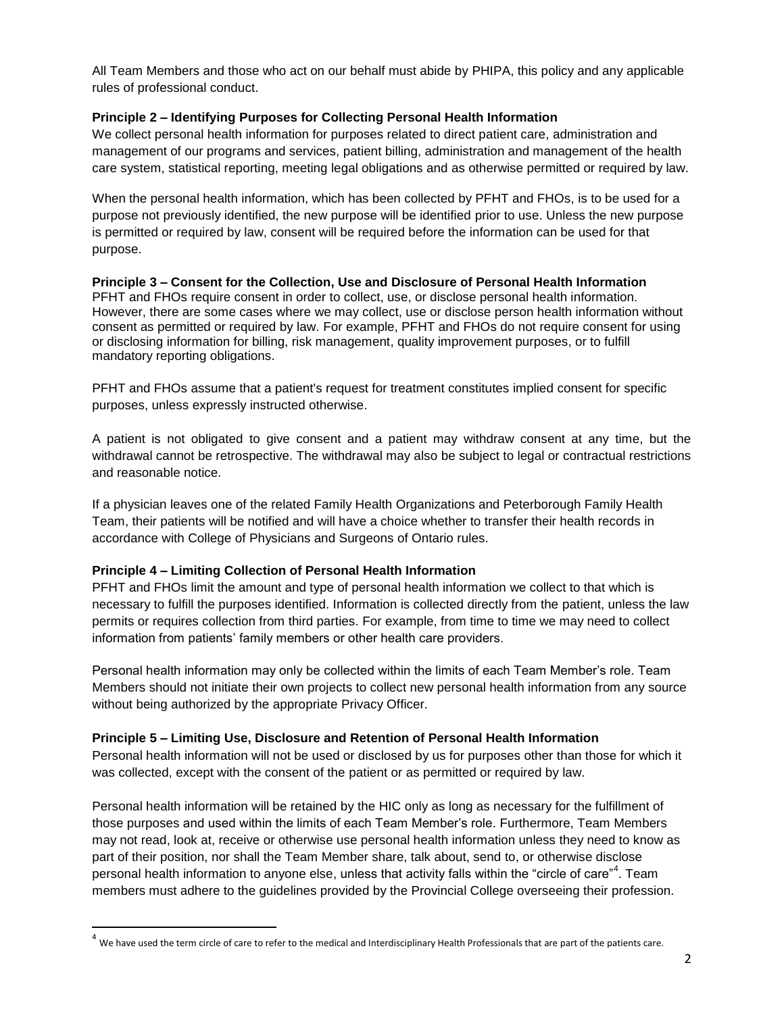All Team Members and those who act on our behalf must abide by PHIPA, this policy and any applicable rules of professional conduct.

#### **Principle 2 – Identifying Purposes for Collecting Personal Health Information**

We collect personal health information for purposes related to direct patient care, administration and management of our programs and services, patient billing, administration and management of the health care system, statistical reporting, meeting legal obligations and as otherwise permitted or required by law.

When the personal health information, which has been collected by PFHT and FHOs, is to be used for a purpose not previously identified, the new purpose will be identified prior to use. Unless the new purpose is permitted or required by law, consent will be required before the information can be used for that purpose.

#### **Principle 3 – Consent for the Collection, Use and Disclosure of Personal Health Information**  PFHT and FHOs require consent in order to collect, use, or disclose personal health information. However, there are some cases where we may collect, use or disclose person health information without consent as permitted or required by law. For example, PFHT and FHOs do not require consent for using or disclosing information for billing, risk management, quality improvement purposes, or to fulfill mandatory reporting obligations.

PFHT and FHOs assume that a patient's request for treatment constitutes implied consent for specific purposes, unless expressly instructed otherwise.

A patient is not obligated to give consent and a patient may withdraw consent at any time, but the withdrawal cannot be retrospective. The withdrawal may also be subject to legal or contractual restrictions and reasonable notice.

If a physician leaves one of the related Family Health Organizations and Peterborough Family Health Team, their patients will be notified and will have a choice whether to transfer their health records in accordance with College of Physicians and Surgeons of Ontario rules.

#### **Principle 4 – Limiting Collection of Personal Health Information**

 $\overline{\phantom{a}}$ 

PFHT and FHOs limit the amount and type of personal health information we collect to that which is necessary to fulfill the purposes identified. Information is collected directly from the patient, unless the law permits or requires collection from third parties. For example, from time to time we may need to collect information from patients' family members or other health care providers.

Personal health information may only be collected within the limits of each Team Member's role. Team Members should not initiate their own projects to collect new personal health information from any source without being authorized by the appropriate Privacy Officer.

#### **Principle 5 – Limiting Use, Disclosure and Retention of Personal Health Information**

Personal health information will not be used or disclosed by us for purposes other than those for which it was collected, except with the consent of the patient or as permitted or required by law.

Personal health information will be retained by the HIC only as long as necessary for the fulfillment of those purposes and used within the limits of each Team Member's role. Furthermore, Team Members may not read, look at, receive or otherwise use personal health information unless they need to know as part of their position, nor shall the Team Member share, talk about, send to, or otherwise disclose personal health information to anyone else, unless that activity falls within the "circle of care"<sup>4</sup>. Team members must adhere to the guidelines provided by the Provincial College overseeing their profession.

 $^4$  We have used the term circle of care to refer to the medical and Interdisciplinary Health Professionals that are part of the patients care.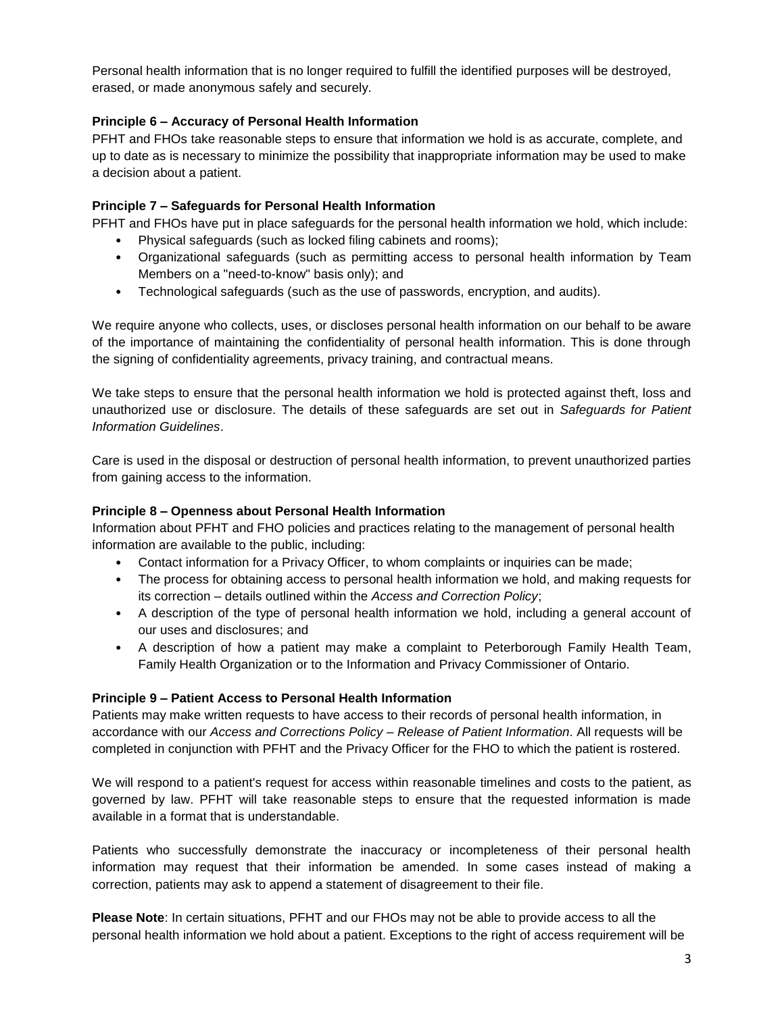Personal health information that is no longer required to fulfill the identified purposes will be destroyed, erased, or made anonymous safely and securely.

#### **Principle 6 – Accuracy of Personal Health Information**

PFHT and FHOs take reasonable steps to ensure that information we hold is as accurate, complete, and up to date as is necessary to minimize the possibility that inappropriate information may be used to make a decision about a patient.

### **Principle 7 – Safeguards for Personal Health Information**

PFHT and FHOs have put in place safeguards for the personal health information we hold, which include:

- Physical safeguards (such as locked filing cabinets and rooms);
- Organizational safeguards (such as permitting access to personal health information by Team Members on a "need-to-know" basis only); and
- Technological safeguards (such as the use of passwords, encryption, and audits).

We require anyone who collects, uses, or discloses personal health information on our behalf to be aware of the importance of maintaining the confidentiality of personal health information. This is done through the signing of confidentiality agreements, privacy training, and contractual means.

We take steps to ensure that the personal health information we hold is protected against theft, loss and unauthorized use or disclosure. The details of these safeguards are set out in *Safeguards for Patient Information Guidelines*.

Care is used in the disposal or destruction of personal health information, to prevent unauthorized parties from gaining access to the information.

#### **Principle 8 – Openness about Personal Health Information**

Information about PFHT and FHO policies and practices relating to the management of personal health information are available to the public, including:

- Contact information for a Privacy Officer, to whom complaints or inquiries can be made;
- The process for obtaining access to personal health information we hold, and making requests for its correction – details outlined within the *Access and Correction Policy*;
- A description of the type of personal health information we hold, including a general account of our uses and disclosures; and
- A description of how a patient may make a complaint to Peterborough Family Health Team, Family Health Organization or to the Information and Privacy Commissioner of Ontario.

#### **Principle 9 – Patient Access to Personal Health Information**

Patients may make written requests to have access to their records of personal health information, in accordance with our *Access and Corrections Policy – Release of Patient Information*. All requests will be completed in conjunction with PFHT and the Privacy Officer for the FHO to which the patient is rostered.

We will respond to a patient's request for access within reasonable timelines and costs to the patient, as governed by law. PFHT will take reasonable steps to ensure that the requested information is made available in a format that is understandable.

Patients who successfully demonstrate the inaccuracy or incompleteness of their personal health information may request that their information be amended. In some cases instead of making a correction, patients may ask to append a statement of disagreement to their file.

**Please Note**: In certain situations, PFHT and our FHOs may not be able to provide access to all the personal health information we hold about a patient. Exceptions to the right of access requirement will be